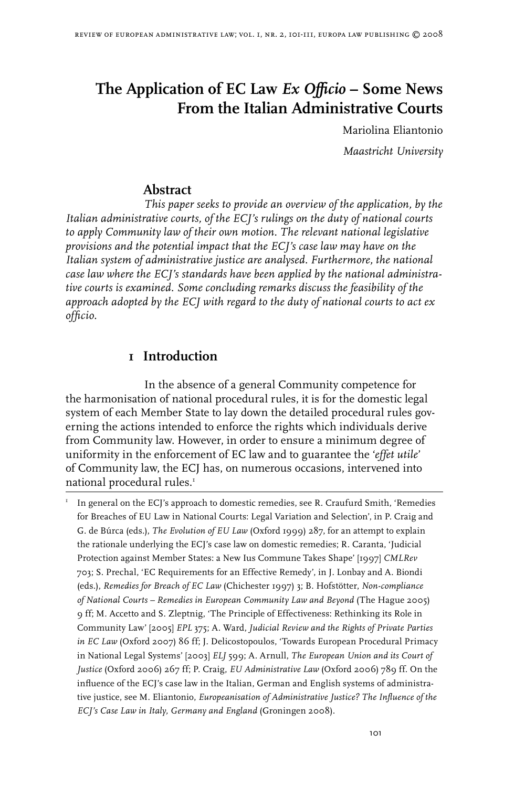# **The Application of EC Law** *Ex Officio* **– Some News From the Italian Administrative Courts**

Mariolina Eliantonio *Maastricht University*

#### **Abstract**

*This paper seeks to provide an overview of the application, by the Italian administrative courts, of the ECJ's rulings on the duty of national courts to apply Community law of their own motion. The relevant national legislative provisions and the potential impact that the ECJ's case law may have on the Italian system of administrative justice are analysed. Furthermore, the national case law where the ECJ's standards have been applied by the national administrative courts is examined. Some concluding remarks discuss the feasibility of the approach adopted by the ECJ with regard to the duty of national courts to act ex officio.*

#### **1 Introduction**

In the absence of a general Community competence for the harmonisation of national procedural rules, it is for the domestic legal system of each Member State to lay down the detailed procedural rules governing the actions intended to enforce the rights which individuals derive from Community law. However, in order to ensure a minimum degree of uniformity in the enforcement of EC law and to guarantee the '*effet utile*' of Community law, the ECJ has, on numerous occasions, intervened into national procedural rules.

 In general on the ECJ's approach to domestic remedies, see R. Craufurd Smith, 'Remedies for Breaches of EU Law in National Courts: Legal Variation and Selection', in P. Craig and G. de Búrca (eds.), *The Evolution of EU Law* (Oxford 1999) 287, for an attempt to explain the rationale underlying the ECJ's case law on domestic remedies; R. Caranta, 'Judicial Protection against Member States: a New Ius Commune Takes Shape' [1997] *CMLRev* 703; S. Prechal, 'EC Requirements for an Effective Remedy', in J. Lonbay and A. Biondi (eds.), *Remedies for Breach of EC Law* (Chichester 1997) 3; B. Hofstötter, *Non-compliance of National Courts – Remedies in European Community Law and Beyond* (The Hague 2005) 9 ff; M. Accetto and S. Zleptnig, 'The Principle of Effectiveness: Rethinking its Role in Community Law' [2005] *EPL* 375; A. Ward, *Judicial Review and the Rights of Private Parties in EC Law* (Oxford 2007) 86 ff; J. Delicostopoulos, 'Towards European Procedural Primacy in National Legal Systems' [2003] *ELJ* 599; A. Arnull, *The European Union and its Court of Justice* (Oxford 2006) 267 ff; P. Craig, *EU Administrative Law* (Oxford 2006) 789 ff. On the influence of the ECJ's case law in the Italian, German and English systems of administrative justice, see M. Eliantonio, *Europeanisation of Administrative Justice? The Influence of the ECJ's Case Law in Italy, Germany and England* (Groningen 2008).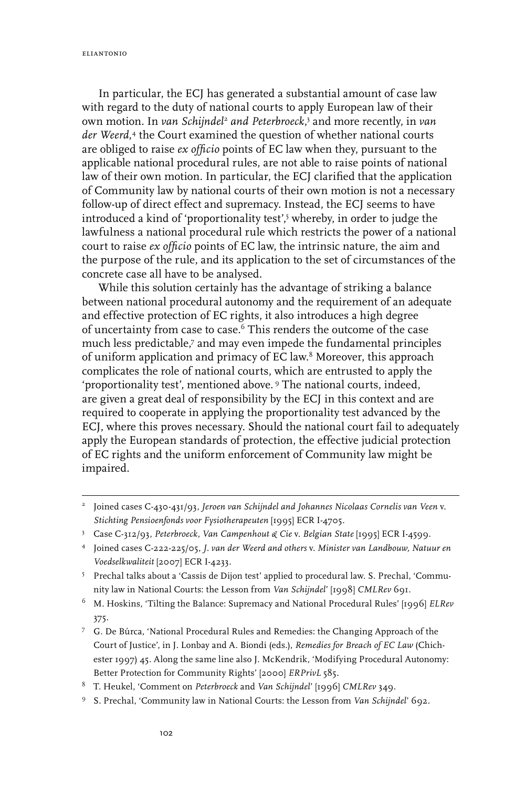eliantonio

In particular, the ECJ has generated a substantial amount of case law with regard to the duty of national courts to apply European law of their own motion. In *van Schijndel<sup>2</sup> and Peterbroeck*,<sup>3</sup> and more recently, in *van der Weerd*, the Court examined the question of whether national courts are obliged to raise *ex officio* points of EC law when they, pursuant to the applicable national procedural rules, are not able to raise points of national law of their own motion. In particular, the ECJ clarified that the application of Community law by national courts of their own motion is not a necessary follow-up of direct effect and supremacy. Instead, the ECJ seems to have introduced a kind of 'proportionality test',<sup>5</sup> whereby, in order to judge the lawfulness a national procedural rule which restricts the power of a national court to raise *ex officio* points of EC law, the intrinsic nature, the aim and the purpose of the rule, and its application to the set of circumstances of the concrete case all have to be analysed.

While this solution certainly has the advantage of striking a balance between national procedural autonomy and the requirement of an adequate and effective protection of EC rights, it also introduces a high degree of uncertainty from case to case.<sup>6</sup> This renders the outcome of the case much less predictable,<sup>7</sup> and may even impede the fundamental principles of uniform application and primacy of EC law.<sup>8</sup> Moreover, this approach complicates the role of national courts, which are entrusted to apply the 'proportionality test', mentioned above.<sup>9</sup> The national courts, indeed, are given a great deal of responsibility by the ECJ in this context and are required to cooperate in applying the proportionality test advanced by the ECJ, where this proves necessary. Should the national court fail to adequately apply the European standards of protection, the effective judicial protection of EC rights and the uniform enforcement of Community law might be impaired.

- M. Hoskins, 'Tilting the Balance: Supremacy and National Procedural Rules' [1996] *ELRev* 375.
- G. De Búrca, 'National Procedural Rules and Remedies: the Changing Approach of the Court of Justice', in J. Lonbay and A. Biondi (eds.), *Remedies for Breach of EC Law* (Chichester 1997) 45. Along the same line also J. McKendrik, 'Modifying Procedural Autonomy: Better Protection for Community Rights' [2000] *ERPrivL* 585.
- T. Heukel, 'Comment on *Peterbroeck* and *Van Schijndel*' [1996] *CMLRev* 349.
- S. Prechal, 'Community law in National Courts: the Lesson from *Van Schijndel*' 692.

<sup>&</sup>lt;sup>2</sup> Joined cases C-430-431/93, Jeroen van Schijndel and Johannes Nicolaas Cornelis van Veen v. *Stichting Pensioenfonds voor Fysiotherapeuten* [1995] ECR I-4705.

Case C-312/93, *Peterbroeck, Van Campenhout & Cie* v. *Belgian State* [1995] ECR I-4599.

Joined cases C-222-225/05, *J. van der Weerd and others* v. *Minister van Landbouw, Natuur en Voedselkwaliteit* [2007] ECR I-4233.

Prechal talks about a 'Cassis de Dijon test' applied to procedural law. S. Prechal, 'Community law in National Courts: the Lesson from *Van Schijndel*' [1998] *CMLRev* 691.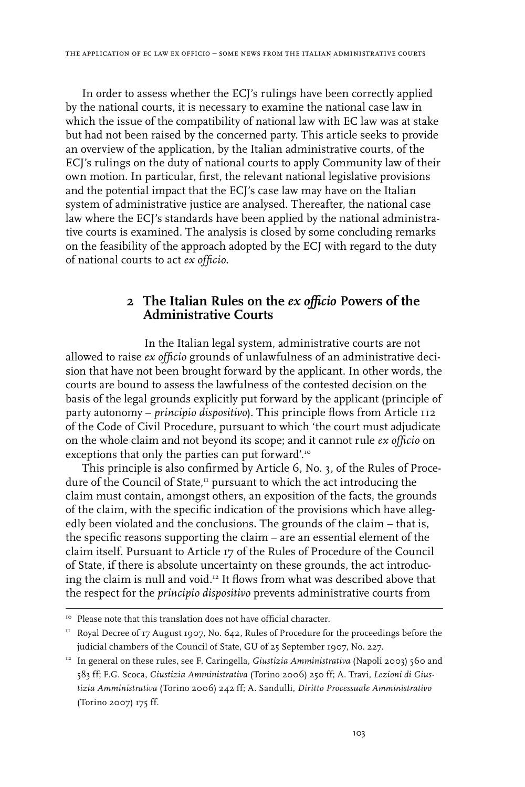In order to assess whether the ECJ's rulings have been correctly applied by the national courts, it is necessary to examine the national case law in which the issue of the compatibility of national law with EC law was at stake but had not been raised by the concerned party. This article seeks to provide an overview of the application, by the Italian administrative courts, of the ECJ's rulings on the duty of national courts to apply Community law of their own motion. In particular, first, the relevant national legislative provisions and the potential impact that the ECJ's case law may have on the Italian system of administrative justice are analysed. Thereafter, the national case law where the ECJ's standards have been applied by the national administrative courts is examined. The analysis is closed by some concluding remarks on the feasibility of the approach adopted by the ECJ with regard to the duty of national courts to act *ex officio*.

## **2 The Italian Rules on the** *ex officio* **Powers of the Administrative Courts**

In the Italian legal system, administrative courts are not allowed to raise *ex officio* grounds of unlawfulness of an administrative decision that have not been brought forward by the applicant. In other words, the courts are bound to assess the lawfulness of the contested decision on the basis of the legal grounds explicitly put forward by the applicant (principle of party autonomy – *principio dispositivo*). This principle flows from Article 112 of the Code of Civil Procedure, pursuant to which 'the court must adjudicate on the whole claim and not beyond its scope; and it cannot rule *ex officio* on exceptions that only the parties can put forward'.<sup>10</sup>

This principle is also confirmed by Article 6, No. 3, of the Rules of Procedure of the Council of State,<sup>11</sup> pursuant to which the act introducing the claim must contain, amongst others, an exposition of the facts, the grounds of the claim, with the specific indication of the provisions which have allegedly been violated and the conclusions. The grounds of the claim – that is, the specific reasons supporting the claim – are an essential element of the claim itself. Pursuant to Article 17 of the Rules of Procedure of the Council of State, if there is absolute uncertainty on these grounds, the act introducing the claim is null and void.12 It flows from what was described above that the respect for the *principio dispositivo* prevents administrative courts from

<sup>&</sup>lt;sup>10</sup> Please note that this translation does not have official character.

 $11$  Royal Decree of 17 August 1907, No. 642, Rules of Procedure for the proceedings before the judicial chambers of the Council of State, GU of 25 September 1907, No. 227.

<sup>&</sup>lt;sup>12</sup> In general on these rules, see F. Caringella, *Giustizia Amministrativa* (Napoli 2003) 560 and 583 ff; F.G. Scoca, *Giustizia Amministrativa* (Torino 2006) 250 ff; A. Travi, *Lezioni di Giustizia Amministrativa* (Torino 2006) 242 ff; A. Sandulli, *Diritto Processuale Amministrativo* (Torino 2007) 175 ff.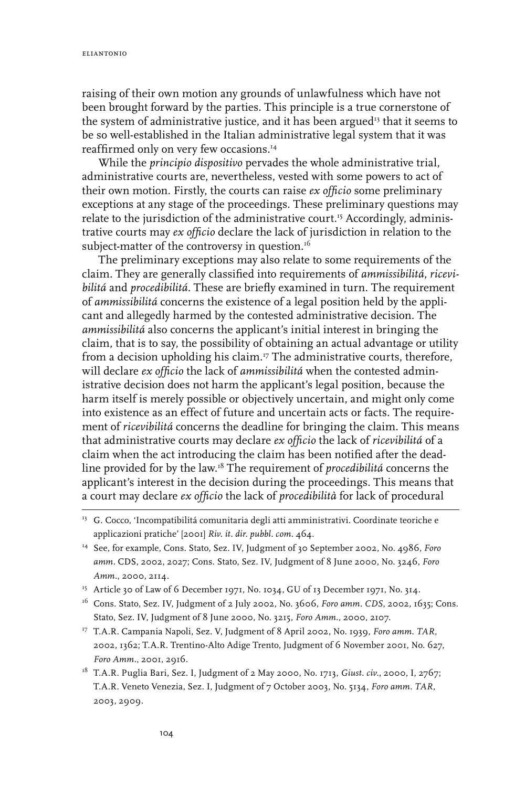raising of their own motion any grounds of unlawfulness which have not been brought forward by the parties. This principle is a true cornerstone of the system of administrative justice, and it has been argued<sup>13</sup> that it seems to be so well-established in the Italian administrative legal system that it was reaffirmed only on very few occasions.<sup>14</sup>

While the *principio dispositivo* pervades the whole administrative trial, administrative courts are, nevertheless, vested with some powers to act of their own motion. Firstly, the courts can raise *ex officio* some preliminary exceptions at any stage of the proceedings. These preliminary questions may relate to the jurisdiction of the administrative court.<sup>15</sup> Accordingly, administrative courts may *ex officio* declare the lack of jurisdiction in relation to the subject-matter of the controversy in question.<sup>16</sup>

The preliminary exceptions may also relate to some requirements of the claim. They are generally classified into requirements of *ammissibilitá*, *ricevibilitá* and *procedibilitá*. These are briefly examined in turn. The requirement of *ammissibilitá* concerns the existence of a legal position held by the applicant and allegedly harmed by the contested administrative decision. The *ammissibilitá* also concerns the applicant's initial interest in bringing the claim, that is to say, the possibility of obtaining an actual advantage or utility from a decision upholding his claim.<sup>17</sup> The administrative courts, therefore, will declare *ex officio* the lack of *ammissibilitá* when the contested administrative decision does not harm the applicant's legal position, because the harm itself is merely possible or objectively uncertain, and might only come into existence as an effect of future and uncertain acts or facts. The requirement of *ricevibilitá* concerns the deadline for bringing the claim. This means that administrative courts may declare *ex officio* the lack of *ricevibilitá* of a claim when the act introducing the claim has been notified after the deadline provided for by the law.18 The requirement of *procedibilitá* concerns the applicant's interest in the decision during the proceedings. This means that a court may declare *ex officio* the lack of *procedibilità* for lack of procedural

- <sup>16</sup> Cons. Stato, Sez. IV, Judgment of 2 July 2002, No. 3606, *Foro amm. CDS*, 2002, 1635; Cons. Stato, Sez. IV, Judgment of 8 June 2000, No. 3215, *Foro Amm.*, 2000, 2107.
- <sup>17</sup> T.A.R. Campania Napoli, Sez. V, Judgment of 8 April 2002, No. 1939, *Foro amm. TAR*, 2002, 1362; T.A.R. Trentino-Alto Adige Trento, Judgment of 6 November 2001, No. 627, *Foro Amm.*, 2001, 2916.
- <sup>18</sup> T.A.R. Puglia Bari, Sez. I, Judgment of 2 May 2000, No. 1713, *Giust. civ.*, 2000, I, 2767; T.A.R. Veneto Venezia, Sez. I, Judgment of 7 October 2003, No. 5134, *Foro amm. TAR*, 2003, 2909.

<sup>&</sup>lt;sup>13</sup> G. Cocco, 'Incompatibilitá comunitaria degli atti amministrativi. Coordinate teoriche e applicazioni pratiche' [2001] *Riv. it. dir. pubbl. com.* 464.

<sup>14</sup> See, for example, Cons. Stato, Sez. IV, Judgment of 30 September 2002, No. 4986, *Foro amm.* CDS, 2002, 2027; Cons. Stato, Sez. IV, Judgment of 8 June 2000, No. 3246, *Foro Amm.*, 2000, 2114.

<sup>&</sup>lt;sup>15</sup> Article 30 of Law of 6 December 1971, No. 1034, GU of 13 December 1971, No. 314.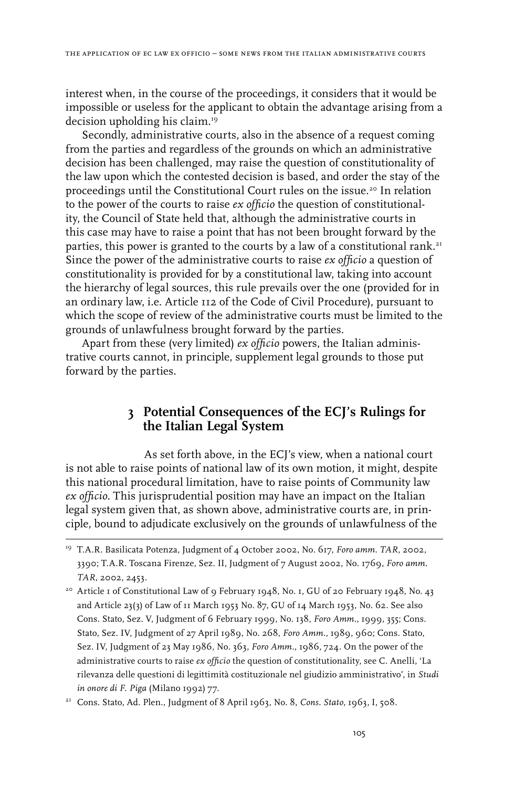interest when, in the course of the proceedings, it considers that it would be impossible or useless for the applicant to obtain the advantage arising from a decision upholding his claim.19

Secondly, administrative courts, also in the absence of a request coming from the parties and regardless of the grounds on which an administrative decision has been challenged, may raise the question of constitutionality of the law upon which the contested decision is based, and order the stay of the proceedings until the Constitutional Court rules on the issue.<sup>20</sup> In relation to the power of the courts to raise *ex officio* the question of constitutionality, the Council of State held that, although the administrative courts in this case may have to raise a point that has not been brought forward by the parties, this power is granted to the courts by a law of a constitutional rank.<sup>21</sup> Since the power of the administrative courts to raise *ex officio* a question of constitutionality is provided for by a constitutional law, taking into account the hierarchy of legal sources, this rule prevails over the one (provided for in an ordinary law, i.e. Article 112 of the Code of Civil Procedure), pursuant to which the scope of review of the administrative courts must be limited to the grounds of unlawfulness brought forward by the parties.

Apart from these (very limited) *ex officio* powers, the Italian administrative courts cannot, in principle, supplement legal grounds to those put forward by the parties.

#### **3 Potential Consequences of the ECJ's Rulings for the Italian Legal System**

As set forth above, in the ECJ's view, when a national court is not able to raise points of national law of its own motion, it might, despite this national procedural limitation, have to raise points of Community law *ex officio*. This jurisprudential position may have an impact on the Italian legal system given that, as shown above, administrative courts are, in principle, bound to adjudicate exclusively on the grounds of unlawfulness of the

<sup>&</sup>lt;sup>19</sup> T.A.R. Basilicata Potenza, Judgment of 4 October 2002, No. 617, Foro amm. TAR, 2002, 3390; T.A.R. Toscana Firenze, Sez. II, Judgment of 7 August 2002, No. 1769, *Foro amm. TAR*, 2002, 2453.

<sup>&</sup>lt;sup>20</sup> Article I of Constitutional Law of 9 February 1948, No. I, GU of 20 February 1948, No. 43 and Article 23(3) of Law of 11 March 1953 No. 87, GU of 14 March 1953, No. 62. See also Cons. Stato, Sez. V, Judgment of 6 February 1999, No. 138, *Foro Amm.*, 1999, 355; Cons. Stato, Sez. IV, Judgment of 27 April 1989, No. 268, *Foro Amm.*, 1989, 960; Cons. Stato, Sez. IV, Judgment of 23 May 1986, No. 363, *Foro Amm.*, 1986, 724. On the power of the administrative courts to raise *ex officio* the question of constitutionality, see C. Anelli, 'La rilevanza delle questioni di legittimità costituzionale nel giudizio amministrativo', in *Studi in onore di F. Piga* (Milano 1992) 77.

<sup>21</sup> Cons. Stato, Ad. Plen., Judgment of 8 April 1963, No. 8, *Cons. Stato*, 1963, I, 508.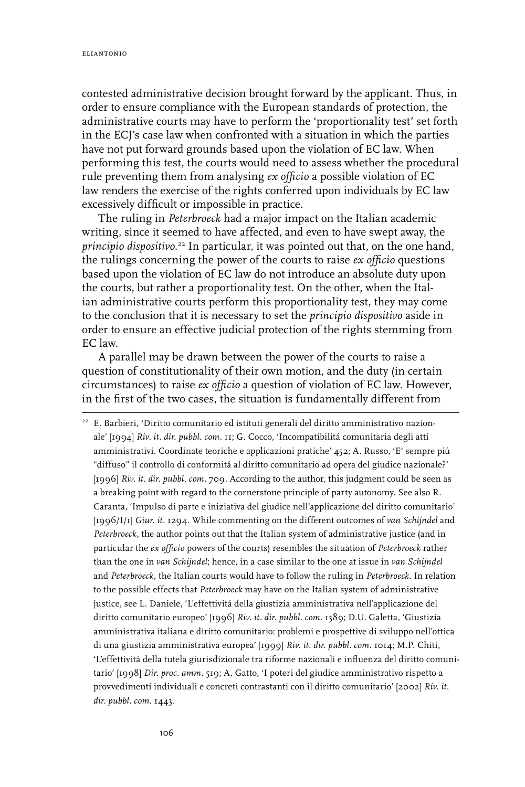contested administrative decision brought forward by the applicant. Thus, in order to ensure compliance with the European standards of protection, the administrative courts may have to perform the 'proportionality test' set forth in the ECJ's case law when confronted with a situation in which the parties have not put forward grounds based upon the violation of EC law. When performing this test, the courts would need to assess whether the procedural rule preventing them from analysing *ex officio* a possible violation of EC law renders the exercise of the rights conferred upon individuals by EC law excessively difficult or impossible in practice.

The ruling in *Peterbroeck* had a major impact on the Italian academic writing, since it seemed to have affected, and even to have swept away, the *principio dispositivo*. <sup>22</sup> In particular, it was pointed out that, on the one hand, the rulings concerning the power of the courts to raise *ex officio* questions based upon the violation of EC law do not introduce an absolute duty upon the courts, but rather a proportionality test. On the other, when the Italian administrative courts perform this proportionality test, they may come to the conclusion that it is necessary to set the *principio dispositivo* aside in order to ensure an effective judicial protection of the rights stemming from EC law.

A parallel may be drawn between the power of the courts to raise a question of constitutionality of their own motion, and the duty (in certain circumstances) to raise *ex officio* a question of violation of EC law. However, in the first of the two cases, the situation is fundamentally different from

<sup>22</sup> E. Barbieri, 'Diritto comunitario ed istituti generali del diritto amministrativo nazionale' [1994] *Riv. it. dir. pubbl. com.* 11; G. Cocco, 'Incompatibilitá comunitaria degli atti amministrativi. Coordinate teoriche e applicazioni pratiche' 452; A. Russo, 'E' sempre piú "diffuso" il controllo di conformitá al diritto comunitario ad opera del giudice nazionale?' [1996] Riv. it. dir. pubbl. com. 709. According to the author, this judgment could be seen as a breaking point with regard to the cornerstone principle of party autonomy. See also R. Caranta, 'Impulso di parte e iniziativa del giudice nell'applicazione del diritto comunitario' [1996/I/1] *Giur. it.* 1294. While commenting on the different outcomes of *van Schijndel* and *Peterbroeck*, the author points out that the Italian system of administrative justice (and in particular the *ex officio* powers of the courts) resembles the situation of *Peterbroeck* rather than the one in *van Schijndel*; hence, in a case similar to the one at issue in *van Schijndel* and *Peterbroeck*, the Italian courts would have to follow the ruling in *Peterbroeck*. In relation to the possible effects that *Peterbroeck* may have on the Italian system of administrative justice, see L. Daniele, 'L'effettivitá della giustizia amministrativa nell'applicazione del diritto comunitario europeo' [1996] *Riv. it. dir. pubbl. com.* 1389; D.U. Galetta, 'Giustizia amministrativa italiana e diritto comunitario: problemi e prospettive di sviluppo nell'ottica di una giustizia amministrativa europea' [1999] *Riv. it. dir. pubbl. com.* 1014; M.P. Chiti, 'L'effettivitá della tutela giurisdizionale tra riforme nazionali e influenza del diritto comunitario' [1998] *Dir. proc. amm.* 519; A. Gatto, 'I poteri del giudice amministrativo rispetto a provvedimenti individuali e concreti contrastanti con il diritto comunitario' [2002] *Riv. it. dir. pubbl. com.* 1443.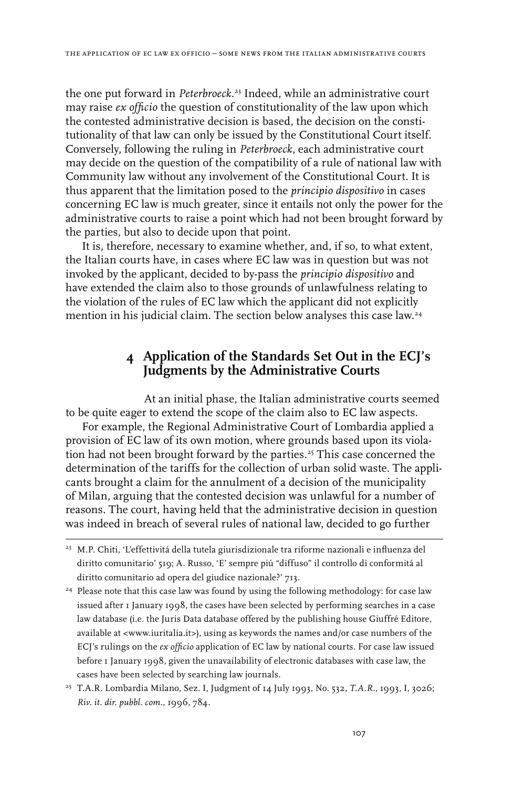the one put forward in *Peterbroeck*. <sup>23</sup> Indeed, while an administrative court may raise *ex officio* the question of constitutionality of the law upon which the contested administrative decision is based, the decision on the constitutionality of that law can only be issued by the Constitutional Court itself. Conversely, following the ruling in *Peterbroeck*, each administrative court may decide on the question of the compatibility of a rule of national law with Community law without any involvement of the Constitutional Court. It is thus apparent that the limitation posed to the *principio dispositivo* in cases concerning EC law is much greater, since it entails not only the power for the administrative courts to raise a point which had not been brought forward by the parties, but also to decide upon that point.

It is, therefore, necessary to examine whether, and, if so, to what extent, the Italian courts have, in cases where EC law was in question but was not invoked by the applicant, decided to by-pass the *principio dispositivo* and have extended the claim also to those grounds of unlawfulness relating to the violation of the rules of EC law which the applicant did not explicitly mention in his judicial claim. The section below analyses this case law.<sup>24</sup>

## **4 Application of the Standards Set Out in the ECJ's Judgments by the Administrative Courts**

At an initial phase, the Italian administrative courts seemed to be quite eager to extend the scope of the claim also to EC law aspects.

For example, the Regional Administrative Court of Lombardia applied a provision of EC law of its own motion, where grounds based upon its violation had not been brought forward by the parties.<sup>25</sup> This case concerned the determination of the tariffs for the collection of urban solid waste. The applicants brought a claim for the annulment of a decision of the municipality of Milan, arguing that the contested decision was unlawful for a number of reasons. The court, having held that the administrative decision in question was indeed in breach of several rules of national law, decided to go further

<sup>&</sup>lt;sup>23</sup> M.P. Chiti, 'L'effettivitá della tutela giurisdizionale tra riforme nazionali e influenza del diritto comunitario' 519; A. Russo, 'E' sempre piú "diffuso" il controllo di conformitá al diritto comunitario ad opera del giudice nazionale?' 713.

<sup>&</sup>lt;sup>24</sup> Please note that this case law was found by using the following methodology: for case law issued after 1 January 1998, the cases have been selected by performing searches in a case law database (i.e. the Juris Data database offered by the publishing house Giuffré Editore, available at <www.iuritalia.it>), using as keywords the names and/or case numbers of the ECJ's rulings on the *ex officio* application of EC law by national courts. For case law issued before 1 January 1998, given the unavailability of electronic databases with case law, the cases have been selected by searching law journals.

<sup>25</sup> T.A.R. Lombardia Milano, Sez. I, Judgment of 14 July 1993, No. 532, *T.A.R.*, 1993, I, 3026; *Riv. it. dir. pubbl. com.*, 1996, 784.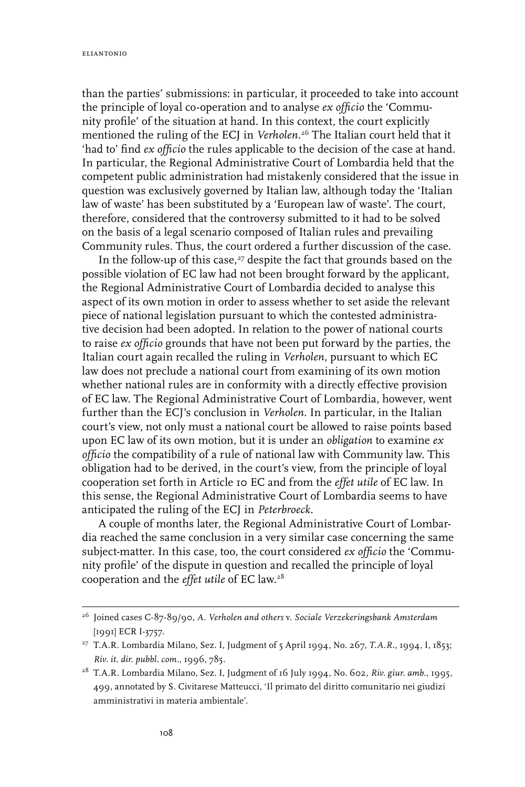than the parties' submissions: in particular, it proceeded to take into account the principle of loyal co-operation and to analyse *ex officio* the 'Community profile' of the situation at hand. In this context, the court explicitly mentioned the ruling of the ECJ in *Verholen*. <sup>26</sup> The Italian court held that it 'had to' find *ex officio* the rules applicable to the decision of the case at hand. In particular, the Regional Administrative Court of Lombardia held that the competent public administration had mistakenly considered that the issue in question was exclusively governed by Italian law, although today the 'Italian law of waste' has been substituted by a 'European law of waste'. The court, therefore, considered that the controversy submitted to it had to be solved on the basis of a legal scenario composed of Italian rules and prevailing Community rules. Thus, the court ordered a further discussion of the case.

In the follow-up of this case, $27$  despite the fact that grounds based on the possible violation of EC law had not been brought forward by the applicant, the Regional Administrative Court of Lombardia decided to analyse this aspect of its own motion in order to assess whether to set aside the relevant piece of national legislation pursuant to which the contested administrative decision had been adopted. In relation to the power of national courts to raise *ex officio* grounds that have not been put forward by the parties, the Italian court again recalled the ruling in *Verholen*, pursuant to which EC law does not preclude a national court from examining of its own motion whether national rules are in conformity with a directly effective provision of EC law. The Regional Administrative Court of Lombardia, however, went further than the ECJ's conclusion in *Verholen*. In particular, in the Italian court's view, not only must a national court be allowed to raise points based upon EC law of its own motion, but it is under an *obligation* to examine *ex officio* the compatibility of a rule of national law with Community law. This obligation had to be derived, in the court's view, from the principle of loyal cooperation set forth in Article 10 EC and from the *effet utile* of EC law. In this sense, the Regional Administrative Court of Lombardia seems to have anticipated the ruling of the ECJ in *Peterbroeck*.

A couple of months later, the Regional Administrative Court of Lombardia reached the same conclusion in a very similar case concerning the same subject-matter. In this case, too, the court considered *ex officio* the 'Community profile' of the dispute in question and recalled the principle of loyal cooperation and the *effet utile* of EC law.28

<sup>26</sup> Joined cases C-87-89/90, *A. Verholen and others* v. *Sociale Verzekeringsbank Amsterdam* [1991] ECR I-3757.

<sup>27</sup> T.A.R. Lombardia Milano, Sez. I, Judgment of 5 April 1994, No. 267, *T.A.R.*, 1994, I, 1853; *Riv. it. dir. pubbl. com.*, 1996, 785.

<sup>28</sup> T.A.R. Lombardia Milano, Sez. I, Judgment of 16 July 1994, No. 602, *Riv. giur. amb.*, 1995, 499, annotated by S. Civitarese Matteucci, 'Il primato del diritto comunitario nei giudizi amministrativi in materia ambientale'.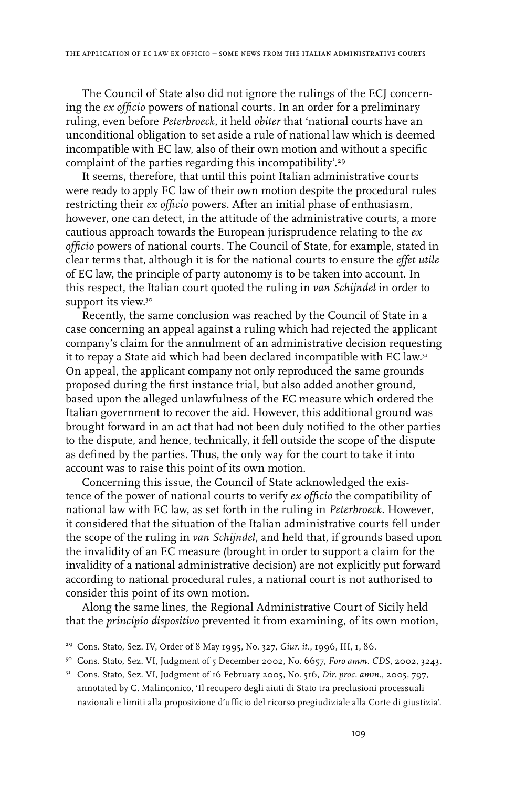The Council of State also did not ignore the rulings of the ECJ concerning the *ex officio* powers of national courts. In an order for a preliminary ruling, even before *Peterbroeck*, it held *obiter* that 'national courts have an unconditional obligation to set aside a rule of national law which is deemed incompatible with EC law, also of their own motion and without a specific complaint of the parties regarding this incompatibility'.<sup>29</sup>

It seems, therefore, that until this point Italian administrative courts were ready to apply EC law of their own motion despite the procedural rules restricting their *ex officio* powers. After an initial phase of enthusiasm, however, one can detect, in the attitude of the administrative courts, a more cautious approach towards the European jurisprudence relating to the *ex officio* powers of national courts. The Council of State, for example, stated in clear terms that, although it is for the national courts to ensure the *effet utile* of EC law, the principle of party autonomy is to be taken into account. In this respect, the Italian court quoted the ruling in *van Schijndel* in order to support its view.<sup>30</sup>

Recently, the same conclusion was reached by the Council of State in a case concerning an appeal against a ruling which had rejected the applicant company's claim for the annulment of an administrative decision requesting it to repay a State aid which had been declared incompatible with EC law.<sup>31</sup> On appeal, the applicant company not only reproduced the same grounds proposed during the first instance trial, but also added another ground, based upon the alleged unlawfulness of the EC measure which ordered the Italian government to recover the aid. However, this additional ground was brought forward in an act that had not been duly notified to the other parties to the dispute, and hence, technically, it fell outside the scope of the dispute as defined by the parties. Thus, the only way for the court to take it into account was to raise this point of its own motion.

Concerning this issue, the Council of State acknowledged the existence of the power of national courts to verify *ex officio* the compatibility of national law with EC law, as set forth in the ruling in *Peterbroeck*. However, it considered that the situation of the Italian administrative courts fell under the scope of the ruling in *van Schijndel*, and held that, if grounds based upon the invalidity of an EC measure (brought in order to support a claim for the invalidity of a national administrative decision) are not explicitly put forward according to national procedural rules, a national court is not authorised to consider this point of its own motion.

Along the same lines, the Regional Administrative Court of Sicily held that the *principio dispositivo* prevented it from examining, of its own motion,

<sup>29</sup> Cons. Stato, Sez. IV, Order of 8 May 1995, No. 327, *Giur. it*., 1996, III, 1, 86.

<sup>&</sup>lt;sup>30</sup> Cons. Stato, Sez. VI, Judgment of 5 December 2002, No. 6657, *Foro amm. CDS*, 2002, 3243.

<sup>31</sup> Cons. Stato, Sez. VI, Judgment of 16 February 2005, No. 516, *Dir. proc. amm.*, 2005, 797, annotated by C. Malinconico, 'Il recupero degli aiuti di Stato tra preclusioni processuali nazionali e limiti alla proposizione d'ufficio del ricorso pregiudiziale alla Corte di giustizia'.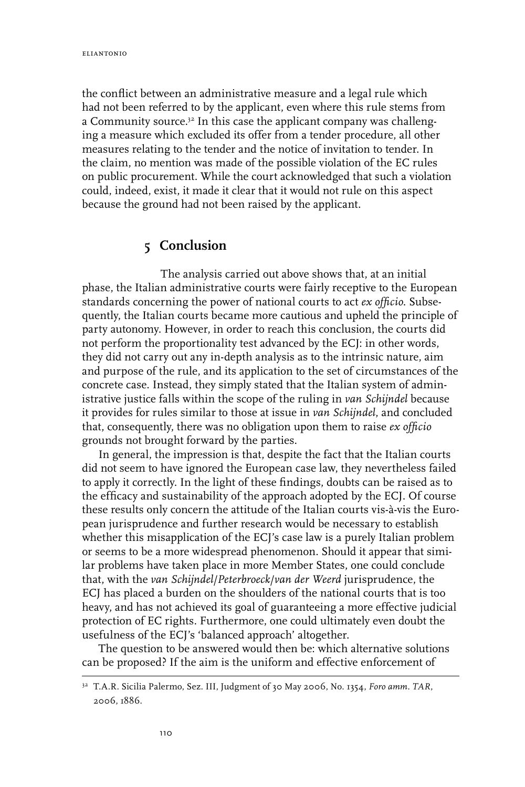the conflict between an administrative measure and a legal rule which had not been referred to by the applicant, even where this rule stems from a Community source.<sup>32</sup> In this case the applicant company was challenging a measure which excluded its offer from a tender procedure, all other measures relating to the tender and the notice of invitation to tender. In the claim, no mention was made of the possible violation of the EC rules on public procurement. While the court acknowledged that such a violation could, indeed, exist, it made it clear that it would not rule on this aspect because the ground had not been raised by the applicant.

## **5 Conclusion**

The analysis carried out above shows that, at an initial phase, the Italian administrative courts were fairly receptive to the European standards concerning the power of national courts to act *ex officio*. Subsequently, the Italian courts became more cautious and upheld the principle of party autonomy. However, in order to reach this conclusion, the courts did not perform the proportionality test advanced by the ECJ: in other words, they did not carry out any in-depth analysis as to the intrinsic nature, aim and purpose of the rule, and its application to the set of circumstances of the concrete case. Instead, they simply stated that the Italian system of administrative justice falls within the scope of the ruling in *van Schijndel* because it provides for rules similar to those at issue in *van Schijndel*, and concluded that, consequently, there was no obligation upon them to raise *ex officio* grounds not brought forward by the parties.

In general, the impression is that, despite the fact that the Italian courts did not seem to have ignored the European case law, they nevertheless failed to apply it correctly. In the light of these findings, doubts can be raised as to the efficacy and sustainability of the approach adopted by the ECJ. Of course these results only concern the attitude of the Italian courts vis-à-vis the European jurisprudence and further research would be necessary to establish whether this misapplication of the ECJ's case law is a purely Italian problem or seems to be a more widespread phenomenon. Should it appear that similar problems have taken place in more Member States, one could conclude that, with the *van Schijndel*/*Peterbroeck*/*van der Weerd* jurisprudence, the ECJ has placed a burden on the shoulders of the national courts that is too heavy, and has not achieved its goal of guaranteeing a more effective judicial protection of EC rights. Furthermore, one could ultimately even doubt the usefulness of the ECJ's 'balanced approach' altogether.

The question to be answered would then be: which alternative solutions can be proposed? If the aim is the uniform and effective enforcement of

<sup>32</sup> T.A.R. Sicilia Palermo, Sez. III, Judgment of 30 May 2006, No. 1354, *Foro amm. TAR*, 2006, 1886.